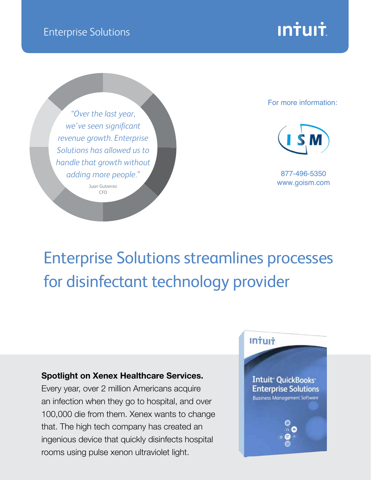

*"Over the last year, we've seen significant revenue growth. Enterprise Solutions has allowed us to handle that growth without adding more people."*

> Juan Gutierrez CFO

## [For more information:](http://www.goism.com)



877-496-5350 www.goism.com

**Intuit** 

**Intuit QuickBooks Enterprise Solutions Business Management Software** 

## Enterprise Solutions streamlines processes for disinfectant technology provider

## **Spotlight on Xenex Healthcare Services.**

Every year, over 2 million Americans acquire an infection when they go to hospital, and over 100,000 die from them. Xenex wants to change that. The high tech company has created an ingenious device that quickly disinfects hospital rooms using pulse xenon ultraviolet light.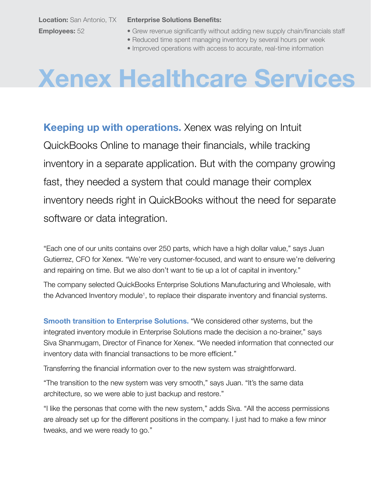**Location:** San Antonio, TX **Employees:** 52

**Enterprise Solutions Benefits:** 

- Grew revenue significantly without adding new supply chain/financials staff
- Reduced time spent managing inventory by several hours per week
- Improved operations with access to accurate, real-time information

## **Xenex Healthcare Services**

**Keeping up with operations.** Xenex was relying on Intuit QuickBooks Online to manage their financials, while tracking inventory in a separate application. But with the company growing fast, they needed a system that could manage their complex inventory needs right in QuickBooks without the need for separate software or data integration.

"Each one of our units contains over 250 parts, which have a high dollar value," says Juan Gutierrez, CFO for Xenex. "We're very customer-focused, and want to ensure we're delivering and repairing on time. But we also don't want to tie up a lot of capital in inventory."

The company selected QuickBooks Enterprise Solutions Manufacturing and Wholesale, with the Advanced Inventory module<sup>1</sup>, to replace their disparate inventory and financial systems.

**Smooth transition to Enterprise Solutions.** "We considered other systems, but the integrated inventory module in Enterprise Solutions made the decision a no-brainer," says Siva Shanmugam, Director of Finance for Xenex. "We needed information that connected our inventory data with financial transactions to be more efficient."

Transferring the financial information over to the new system was straightforward.

"The transition to the new system was very smooth," says Juan. "It's the same data architecture, so we were able to just backup and restore."

"I like the personas that come with the new system," adds Siva. "All the access permissions are already set up for the different positions in the company. I just had to make a few minor tweaks, and we were ready to go."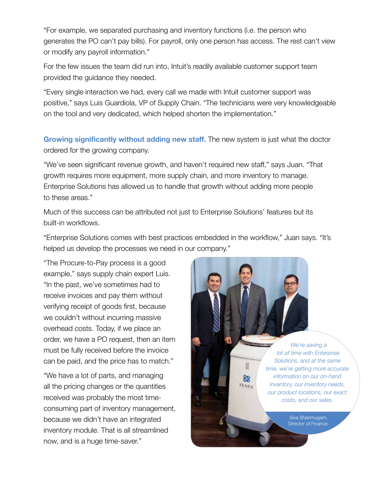"For example, we separated purchasing and inventory functions (i.e. the person who generates the PO can't pay bills). For payroll, only one person has access. The rest can't view or modify any payroll information."

For the few issues the team did run into, Intuit's readily available customer support team provided the guidance they needed.

"Every single interaction we had, every call we made with Intuit customer support was positive," says Luis Guardiola, VP of Supply Chain. "The technicians were very knowledgeable on the tool and very dedicated, which helped shorten the implementation."

**Growing significantly without adding new staff.** The new system is just what the doctor ordered for the growing company.

"We've seen significant revenue growth, and haven't required new staff," says Juan. "That growth requires more equipment, more supply chain, and more inventory to manage. Enterprise Solutions has allowed us to handle that growth without adding more people to these areas."

Much of this success can be attributed not just to Enterprise Solutions' features but its built-in workflows.

"Enterprise Solutions comes with best practices embedded in the workflow," Juan says. "It's helped us develop the processes we need in our company."

"The Procure-to-Pay process is a good example," says supply chain expert Luis. "In the past, we've sometimes had to receive invoices and pay them without verifying receipt of goods first, because we couldn't without incurring massive overhead costs. Today, if we place an order, we have a PO request, then an item must be fully received before the invoice can be paid, and the price has to match."

"We have a lot of parts, and managing all the pricing changes or the quantities received was probably the most timeconsuming part of inventory management, because we didn't have an integrated inventory module. That is all streamlined now, and is a huge time-saver."

*We're saving a lot of time with Enterprise Solutions, and at the same time, we're getting more accurate information on our on-hand inventory, our inventory needs, our product locations, our exact costs, and our sales.*

ò. XENEX

> Siva Shanmugam, Director of Finance